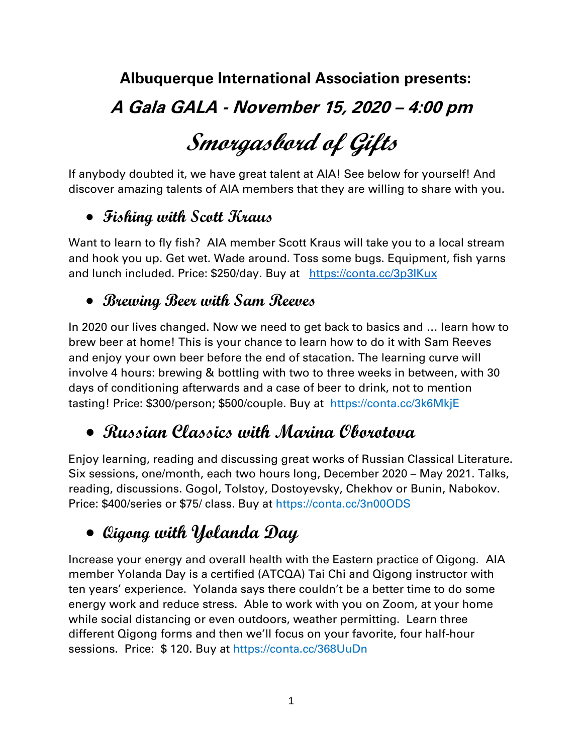**Albuquerque International Association presents:**

# **A Gala GALA - November 15, 2020 – 4:00 pm**

# **Smorgasbord of Gifts**

If anybody doubted it, we have great talent at AIA! See below for yourself! And discover amazing talents of AIA members that they are willing to share with you.

#### • **Fishing with Scott Kraus**

Want to learn to fly fish? AIA member Scott Kraus will take you to a local stream and hook you up. Get wet. Wade around. Toss some bugs. Equipment, fish yarns and lunch included. Price: \$250/day. Buy at https://conta.cc/3p3IKux

#### • **Brewing Beer with Sam Reeves**

In 2020 our lives changed. Now we need to get back to basics and … learn how to brew beer at home! This is your chance to learn how to do it with Sam Reeves and enjoy your own beer before the end of stacation. The learning curve will involve 4 hours: brewing & bottling with two to three weeks in between, with 30 days of conditioning afterwards and a case of beer to drink, not to mention tasting! Price: \$300/person; \$500/couple. Buy at https://conta.cc/3k6MkjE

# • **Russian Classics with Marina Oborotova**

Enjoy learning, reading and discussing great works of Russian Classical Literature. Six sessions, one/month, each two hours long, December 2020 – May 2021. Talks, reading, discussions. Gogol, Tolstoy, Dostoyevsky, Chekhov or Bunin, Nabokov. Price: \$400/series or \$75/ class. Buy at https://conta.cc/3n00ODS

# • **Qigong with Yolanda Day**

Increase your energy and overall health with the Eastern practice of Qigong. AIA member Yolanda Day is a certified (ATCQA) Tai Chi and Qigong instructor with ten years' experience. Yolanda says there couldn't be a better time to do some energy work and reduce stress. Able to work with you on Zoom, at your home while social distancing or even outdoors, weather permitting. Learn three different Qigong forms and then we'll focus on your favorite, four half-hour sessions. Price: \$ 120. Buy at https://conta.cc/368UuDn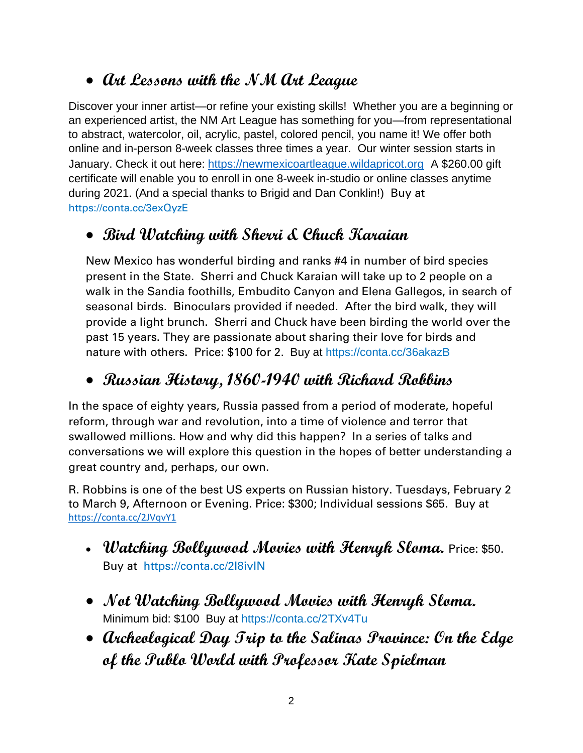#### • **Art Lessons with the NM Art League**

Discover your inner artist—or refine your existing skills! Whether you are a beginning or an experienced artist, the NM Art League has something for you—from representational to abstract, watercolor, oil, acrylic, pastel, colored pencil, you name it! We offer both online and in-person 8-week classes three times a year. Our winter session starts in January. Check it out here: [https://newmexicoartleague.wildapricot.org](https://newmexicoartleague.wildapricot.org/) A \$260.00 gift certificate will enable you to enroll in one 8-week in-studio or online classes anytime during 2021. (And a special thanks to Brigid and Dan Conklin!) Buy at https://conta.cc/3exQyzE

#### • **Bird Watching with Sherri & Chuck Karaian**

New Mexico has wonderful birding and ranks #4 in number of bird species present in the State. Sherri and Chuck Karaian will take up to 2 people on a walk in the Sandia foothills, Embudito Canyon and Elena Gallegos, in search of seasonal birds. Binoculars provided if needed. After the bird walk, they will provide a light brunch. Sherri and Chuck have been birding the world over the past 15 years. They are passionate about sharing their love for birds and nature with others. Price: \$100 for 2. Buy at https://conta.cc/36akazB

#### • **Russian History, 1860-1940 with Richard Robbins**

In the space of eighty years, Russia passed from a period of moderate, hopeful reform, through war and revolution, into a time of violence and terror that swallowed millions. How and why did this happen? In a series of talks and conversations we will explore this question in the hopes of better understanding a great country and, perhaps, our own.

R. Robbins is one of the best US experts on Russian history. Tuesdays, February 2 to March 9, Afternoon or Evening. Price: \$300; Individual sessions \$65. Buy at <https://conta.cc/2JVqvY1>

- **Watching Bollywood Movies with Henryk Sloma.** Price: \$50. Buy at https://conta.cc/2I8ivlN
- **Not Watching Bollywood Movies with Henryk Sloma.**  Minimum bid: \$100 Buy at https://conta.cc/2TXv4Tu
- **Archeological Day Trip to the Salinas Province: On the Edge of the Publo World with Professor Kate Spielman**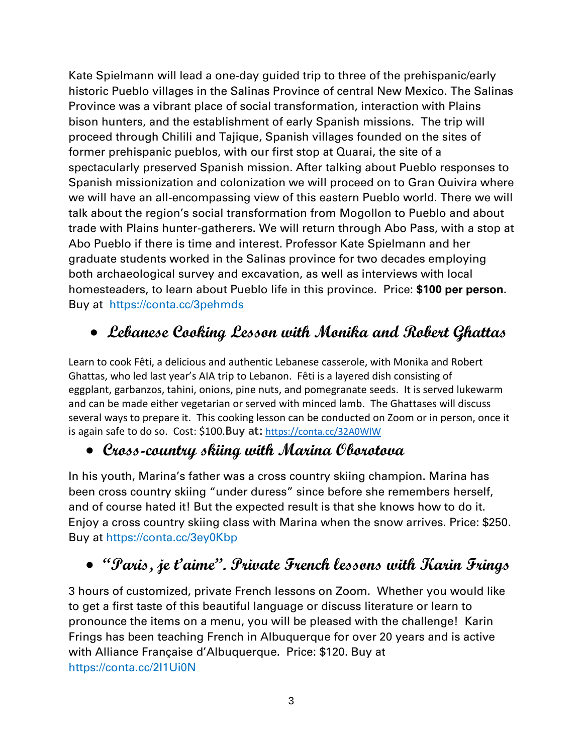Kate Spielmann will lead a one-day guided trip to three of the prehispanic/early historic Pueblo villages in the Salinas Province of central New Mexico. The Salinas Province was a vibrant place of social transformation, interaction with Plains bison hunters, and the establishment of early Spanish missions. The trip will proceed through Chilili and Tajique, Spanish villages founded on the sites of former prehispanic pueblos, with our first stop at Quarai, the site of a spectacularly preserved Spanish mission. After talking about Pueblo responses to Spanish missionization and colonization we will proceed on to Gran Quivira where we will have an all-encompassing view of this eastern Pueblo world. There we will talk about the region's social transformation from Mogollon to Pueblo and about trade with Plains hunter-gatherers. We will return through Abo Pass, with a stop at Abo Pueblo if there is time and interest. Professor Kate Spielmann and her graduate students worked in the Salinas province for two decades employing both archaeological survey and excavation, as well as interviews with local homesteaders, to learn about Pueblo life in this province. Price: **\$100 per person.**  Buy athttps://conta.cc/3pehmds

## • **Lebanese Cooking Lesson with Monika and Robert Ghattas**

Learn to cook Fêti, a delicious and authentic Lebanese casserole, with Monika and Robert Ghattas, who led last year's AIA trip to Lebanon. Fêti is a layered dish consisting of eggplant, garbanzos, tahini, onions, pine nuts, and pomegranate seeds. It is served lukewarm and can be made either vegetarian or served with minced lamb. The Ghattases will discuss several ways to prepare it. This cooking lesson can be conducted on Zoom or in person, once it is again safe to do so. Cost: \$100.**Buy at:** <https://conta.cc/32A0WlW>

#### • **Cross-country skiing with Marina Oborotova**

In his youth, Marina's father was a cross country skiing champion. Marina has been cross country skiing "under duress" since before she remembers herself, and of course hated it! But the expected result is that she knows how to do it. Enjoy a cross country skiing class with Marina when the snow arrives. Price: \$250. Buy at https://conta.cc/3ey0Kbp

#### • **"Paris, je t'aime". Private French lessons with Karin Frings**

3 hours of customized, private French lessons on Zoom. Whether you would like to get a first taste of this beautiful language or discuss literature or learn to pronounce the items on a menu, you will be pleased with the challenge! Karin Frings has been teaching French in Albuquerque for over 20 years and is active with Alliance Française d'Albuquerque. Price: \$120. Buy at https://conta.cc/2I1Ui0N